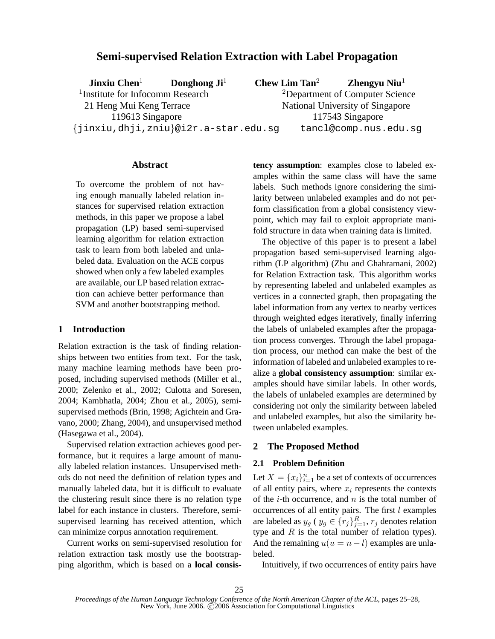# **Semi-supervised Relation Extraction with Label Propagation**

| <b>Jinxiu Chen</b> <sup>1</sup>              | Donghong $Ji^1$ | Chew Lim Tan $2$ | <b>Zhengyu Niu</b> <sup>1</sup>             |
|----------------------------------------------|-----------------|------------------|---------------------------------------------|
| <sup>1</sup> Institute for Infocomm Research |                 |                  | <sup>2</sup> Department of Computer Science |
| 21 Heng Mui Keng Terrace                     |                 |                  | National University of Singapore            |
| 119613 Singapore                             |                 |                  | 117543 Singapore                            |
| {jinxiu,dhji,zniu}@i2r.a-star.edu.sg         |                 |                  | tancl@comp.nus.edu.sg                       |

## **Abstract**

To overcome the problem of not having enough manually labeled relation instances for supervised relation extraction methods, in this paper we propose a label propagation (LP) based semi-supervised learning algorithm for relation extraction task to learn from both labeled and unlabeled data. Evaluation on the ACE corpus showed when only a few labeled examples are available, our LP based relation extraction can achieve better performance than SVM and another bootstrapping method.

## **1 Introduction**

Relation extraction is the task of finding relationships between two entities from text. For the task, many machine learning methods have been proposed, including supervised methods (Miller et al., 2000; Zelenko et al., 2002; Culotta and Soresen, 2004; Kambhatla, 2004; Zhou et al., 2005), semisupervised methods (Brin, 1998; Agichtein and Gravano, 2000; Zhang, 2004), and unsupervised method (Hasegawa et al., 2004).

Supervised relation extraction achieves good performance, but it requires a large amount of manually labeled relation instances. Unsupervised methods do not need the definition of relation types and manually labeled data, but it is difficult to evaluate the clustering result since there is no relation type label for each instance in clusters. Therefore, semisupervised learning has received attention, which can minimize corpus annotation requirement.

Current works on semi-supervised resolution for relation extraction task mostly use the bootstrapping algorithm, which is based on a **local consis-** **tency assumption**: examples close to labeled examples within the same class will have the same labels. Such methods ignore considering the similarity between unlabeled examples and do not perform classification from a global consistency viewpoint, which may fail to exploit appropriate manifold structure in data when training data is limited.

The objective of this paper is to present a label propagation based semi-supervised learning algorithm (LP algorithm) (Zhu and Ghahramani, 2002) for Relation Extraction task. This algorithm works by representing labeled and unlabeled examples as vertices in a connected graph, then propagating the label information from any vertex to nearby vertices through weighted edges iteratively, finally inferring the labels of unlabeled examples after the propagation process converges. Through the label propagation process, our method can make the best of the information of labeled and unlabeled examples to realize a **global consistency assumption**: similar examples should have similar labels. In other words, the labels of unlabeled examples are determined by considering not only the similarity between labeled and unlabeled examples, but also the similarity between unlabeled examples.

## **2 The Proposed Method**

## **2.1 Problem Definition**

Let  $X = \{x_i\}_{i=1}^n$  be a set of contexts of occurrences of all entity pairs, where  $x_i$  represents the contexts of the *i*-th occurrence, and *n* is the total number of occurrences of all entity pairs. The first  $l$  examples are labeled as  $y_g$  (  $y_g \in \{r_j\}_{j=1}^R$ ,  $r_j$  denotes relation type and  $R$  is the total number of relation types). And the remaining  $u(u = n - l)$  examples are unlabeled.

Intuitively, if two occurrences of entity pairs have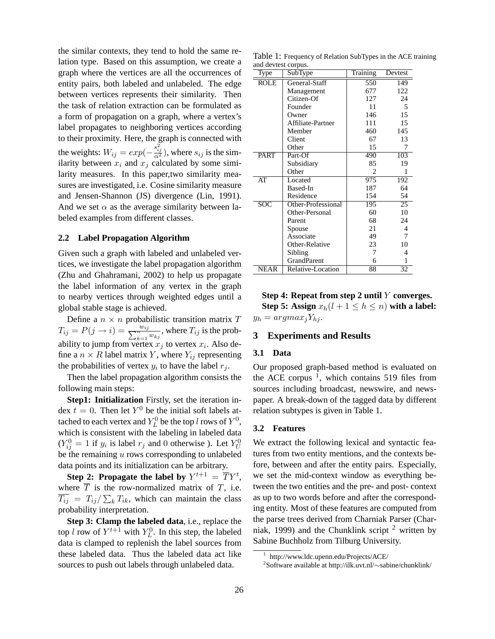the similar contexts, they tend to hold the same relation type. Based on this assumption, we create a graph where the vertices are all the occurrences of entity pairs, both labeled and unlabeled. The edge between vertices represents their similarity. Then the task of relation extraction can be formulated as a form of propagation on a graph, where a vertex's label propagates to neighboring vertices according to their proximity. Here, the graph is connected with the weights:  $W_{ij} = exp(-\frac{s_{ij}^2}{\alpha^2})$ , where  $s_{ij}$  is the similarity between  $x_i$  and  $x_j$  calculated by some similarity measures. In this paper,two similarity measures are investigated, i.e. Cosine similarity measure and Jensen-Shannon (JS) divergence (Lin, 1991). And we set  $\alpha$  as the average similarity between labeled examples from different classes.

## **2.2 Label Propagation Algorithm**

Given such a graph with labeled and unlabeled vertices, we investigate the label propagation algorithm (Zhu and Ghahramani, 2002) to help us propagate the label information of any vertex in the graph to nearby vertices through weighted edges until a global stable stage is achieved.

Define a  $n \times n$  probabilistic transition matrix T  $T_{ij} = P(j \rightarrow i) = \frac{w_{ij}}{\sum_{k=1}^{n} w_{kj}}$ , where  $T_{ij}$  is the probability to jump from vertex  $x_j$  to vertex  $x_i$ . Also define a  $n \times R$  label matrix Y, where  $Y_{ij}$  representing the probabilities of vertex  $y_i$  to have the label  $r_j$ .

Then the label propagation algorithm consists the following main steps:

**Step1: Initialization** Firstly, set the iteration index  $t = 0$ . Then let  $Y^0$  be the initial soft labels attached to each vertex and  $Y_L^0$  be the top l rows of  $Y^0$ , which is consistent with the labeling in labeled data  $(Y_{ij}^0 = 1$  if  $y_i$  is label  $r_j$  and 0 otherwise ). Let  $Y_U^0$ be the remaining  $u$  rows corresponding to unlabeled data points and its initialization can be arbitrary.

**Step 2: Propagate the label by**  $Y^{t+1} = \overline{T} Y^t$ , where  $\overline{T}$  is the row-normalized matrix of T, i.e. where T is the TOW-HOTHARTECU matrix of T, i.e.<br> $\overline{T_{ij}} = T_{ij}/\sum_{k} T_{ik}$ , which can maintain the class probability interpretation.

**Step 3: Clamp the labeled data**, i.e., replace the top l row of  $Y^{t+1}$  with  $Y_L^0$ . In this step, the labeled data is clamped to replenish the label sources from these labeled data. Thus the labeled data act like sources to push out labels through unlabeled data.

Table 1: Frequency of Relation SubTypes in the ACE training and devtest corpus.

| Type            | SubType            | Training | Devtest |
|-----------------|--------------------|----------|---------|
| <b>ROLE</b>     | General-Staff      | 550      | 149     |
|                 | Management         | 677      | 122     |
|                 | Citizen-Of         | 127      | 24      |
|                 | Founder            | 11       | 5       |
|                 | Owner              | 146      | 15      |
|                 | Affiliate-Partner  | 111      | 15      |
|                 | Member             | 460      | 145     |
|                 | Client             | 67       | 13      |
|                 | Other              | 15       | 7       |
| PART            | Part-Of            | 490      | 103     |
|                 | Subsidiary         | 85       | 19      |
|                 | Other              | 2        | 1       |
| $\overline{AT}$ | Located            | 975      | 192     |
|                 | Based-In           | 187      | 64      |
|                 | Residence          | 154      | 54      |
| <b>SOC</b>      | Other-Professional | 195      | 25      |
|                 | Other-Personal     | 60       | 10      |
|                 | Parent             | 68       | 24      |
|                 | Spouse             | 21       | 4       |
|                 | Associate          | 49       | 7       |
|                 | Other-Relative     | 23       | 10      |
|                 | Sibling            | 7        | 4       |
|                 | <b>GrandParent</b> | 6        | 1       |
| <b>NEAR</b>     | Relative-Location  | 88       | 32      |

**Step 4: Repeat from step 2 until** Y **converges. Step 5:** Assign  $x_h(l + 1 \leq h \leq n)$  with a label:  $y_h = argmax_j Y_{hi}.$ 

## **3 Experiments and Results**

## **3.1 Data**

Our proposed graph-based method is evaluated on the ACE corpus<sup>1</sup>, which contains 519 files from sources including broadcast, newswire, and newspaper. A break-down of the tagged data by different relation subtypes is given in Table 1.

#### **3.2 Features**

We extract the following lexical and syntactic features from two entity mentions, and the contexts before, between and after the entity pairs. Especially, we set the mid-context window as everything between the two entities and the pre- and post- context as up to two words before and after the corresponding entity. Most of these features are computed from the parse trees derived from Charniak Parser (Charniak, 1999) and the Chunklink script  $2$  written by Sabine Buchholz from Tilburg University.

<sup>1</sup> http://www.ldc.upenn.edu/Projects/ACE/

<sup>2</sup> Software available at http://ilk.uvt.nl/∼sabine/chunklink/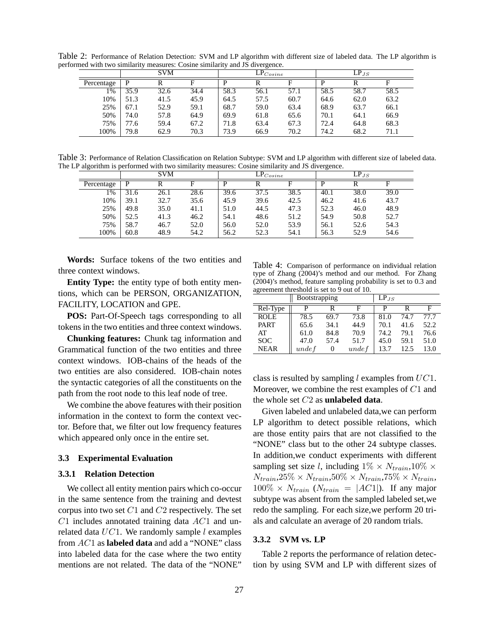Table 2: Performance of Relation Detection: SVM and LP algorithm with different size of labeled data. The LP algorithm is performed with two similarity measures: Cosine similarity and JS divergence.

|            | <b>SVM</b> |      |      |      | $\mathop{\rm LP}_{Cosine}$ |      |      | $LP_{JS}$ |      |  |
|------------|------------|------|------|------|----------------------------|------|------|-----------|------|--|
| Percentage | P          | R    | E    | D    |                            | F    | P    |           |      |  |
| 1%         | 35.9       | 32.6 | 34.4 | 58.3 | 56.1                       | 57.1 | 58.5 | 58.7      | 58.5 |  |
| 10%        | 51.3       | 41.5 | 45.9 | 64.5 | 57.5                       | 60.7 | 64.6 | 62.0      | 63.2 |  |
| 25%        | 67.1       | 52.9 | 59.1 | 68.7 | 59.0                       | 63.4 | 68.9 | 63.7      | 66.1 |  |
| 50%        | 74.0       | 57.8 | 64.9 | 69.9 | 61.8                       | 65.6 | 70.1 | 64.1      | 66.9 |  |
| 75%        | 77.6       | 59.4 | 67.2 | 71.8 | 63.4                       | 67.3 | 72.4 | 64.8      | 68.3 |  |
| 100%       | 79.8       | 62.9 | 70.3 | 73.9 | 66.9                       | 70.2 | 74.2 | 68.2      | 71.1 |  |

Table 3: Performance of Relation Classification on Relation Subtype: SVM and LP algorithm with different size of labeled data. The LP algorithm is performed with two similarity measures: Cosine similarity and JS divergence.

|            |      | <b>SVM</b> |      |      | $\text{LP}_{Cosine}$ |      |      | $LP_{JS}$ |      |
|------------|------|------------|------|------|----------------------|------|------|-----------|------|
| Percentage | D    | R          |      | D    | R                    | F    | P    | R         |      |
| 1%         | 31.6 | 26.1       | 28.6 | 39.6 | 37.5                 | 38.5 | 40.1 | 38.0      | 39.0 |
| 10%        | 39.1 | 32.7       | 35.6 | 45.9 | 39.6                 | 42.5 | 46.2 | 41.6      | 43.7 |
| 25%        | 49.8 | 35.0       | 41.1 | 51.0 | 44.5                 | 47.3 | 52.3 | 46.0      | 48.9 |
| 50%        | 52.5 | 41.3       | 46.2 | 54.1 | 48.6                 | 51.2 | 54.9 | 50.8      | 52.7 |
| 75%        | 58.7 | 46.7       | 52.0 | 56.0 | 52.0                 | 53.9 | 56.1 | 52.6      | 54.3 |
| 100%       | 60.8 | 48.9       | 54.2 | 56.2 | 52.3                 | 54.1 | 56.3 | 52.9      | 54.6 |

**Words:** Surface tokens of the two entities and three context windows.

**Entity Type:** the entity type of both entity mentions, which can be PERSON, ORGANIZATION, FACILITY, LOCATION and GPE.

**POS:** Part-Of-Speech tags corresponding to all tokens in the two entities and three context windows.

**Chunking features:** Chunk tag information and Grammatical function of the two entities and three context windows. IOB-chains of the heads of the two entities are also considered. IOB-chain notes the syntactic categories of all the constituents on the path from the root node to this leaf node of tree.

We combine the above features with their position information in the context to form the context vector. Before that, we filter out low frequency features which appeared only once in the entire set.

#### **3.3 Experimental Evaluation**

## **3.3.1 Relation Detection**

We collect all entity mention pairs which co-occur in the same sentence from the training and devtest corpus into two set  $C1$  and  $C2$  respectively. The set  $C1$  includes annotated training data  $AC1$  and unrelated data  $UC1$ . We randomly sample l examples from AC1 as **labeled data** and add a "NONE" class into labeled data for the case where the two entity mentions are not related. The data of the "NONE"

Table 4: Comparison of performance on individual relation type of Zhang (2004)'s method and our method. For Zhang (2004)'s method, feature sampling probability is set to 0.3 and agreement threshold is set to 9 out of 10.

|             | Bootstrapping | $LP_{JS}$ |       |      |      |      |
|-------------|---------------|-----------|-------|------|------|------|
| Rel-Type    | р             | R         | F     | р    | R    | F    |
| <b>ROLE</b> | 78.5          | 69.7      | 73.8  | 81.0 | 74.7 | 77.7 |
| <b>PART</b> | 65.6          | 34.1      | 44.9  | 70.1 | 41.6 | 52.2 |
| AT          | 61.0          | 84.8      | 70.9  | 74.2 | 79.1 | 76.6 |
| <b>SOC</b>  | 47.0          | 57.4      | 51.7  | 45.0 | 59.1 | 51.0 |
| <b>NEAR</b> | undef         | $\theta$  | undef | 13.7 | 12.5 | 13.0 |

class is resulted by sampling l examples from  $UC1$ . Moreover, we combine the rest examples of C1 and the whole set C2 as **unlabeled data**.

Given labeled and unlabeled data,we can perform LP algorithm to detect possible relations, which are those entity pairs that are not classified to the "NONE" class but to the other 24 subtype classes. In addition,we conduct experiments with different sampling set size *l*, including  $1\% \times N_{train}$ ,  $10\% \times$  $N_{train}$ ,25% ×  $N_{train}$ ,50% ×  $N_{train}$ ,75% ×  $N_{train}$ ,  $100\% \times N_{train}$  ( $N_{train} = |AC1|$ ). If any major subtype was absent from the sampled labeled set,we redo the sampling. For each size,we perform 20 trials and calculate an average of 20 random trials.

### **3.3.2 SVM vs. LP**

Table 2 reports the performance of relation detection by using SVM and LP with different sizes of